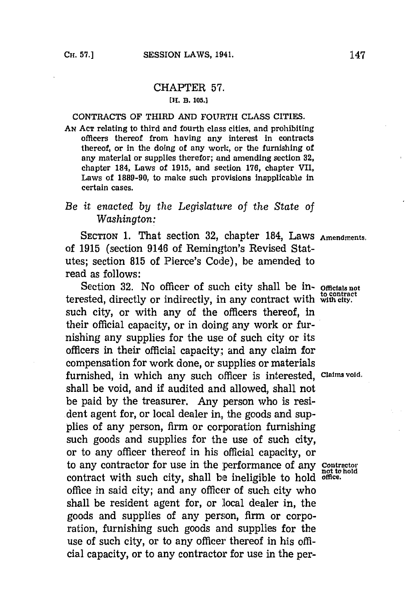## CHAPTER **57. [H. B. 105.]**

## **CONTRACTS** OF THIRD **AND** FOURTH **CLASS** CITIES.

**AN ACT** relating to third and fourth class cities, and prohibiting officers thereof from having any interest in contracts thereof, or in the doing of any work, or the furnishing of any material or supplies therefor; and amending section **32,** chapter 184, Laws of **1915,** and section **176,** chapter VII, Laws of **1889-90,** to make such provisions inapplicable In certain cases.

## *Be it enacted by the Legislature of the State of Washington:*

SECTION **1.** That section **32,** chapter 184, Laws **Amendments.** of **1915** (section 9146 of Remington's Revised Statutes; section **815** of Pierce's Code), be amended to read as follows:

Section 32. No officer of such city shall be in- officials not terested, directly or indirectly, in any contract with with city. such city, or with any of the officers thereof, in their official capacity, or in doing any work or furnishing any supplies for the use of such city or its officers in their official capacity; and any claim for compensation for work done, or supplies or materials furnished, in which any such officer is interested, **Claims void.** shall be void, and if audited and allowed, shall not be paid **by** the treasurer. Any person who is resident agent for, or local dealer in, the goods and supplies of any person, firm or corporation furnishing such goods and supplies for the use of such city, or to any officer thereof in his official capacity, or to any contractor for use in the performance of any **contractor** contract with such city, shall **be** ineligible to hold **office.** office in said city; and any officer of such city who shall be resident agent for, or local dealer in, the goods and supplies of any person, firm or corporation, furnishing such goods and supplies for the use of such city, or to any officer thereof in his official capacity, or to any contractor for use in the per-